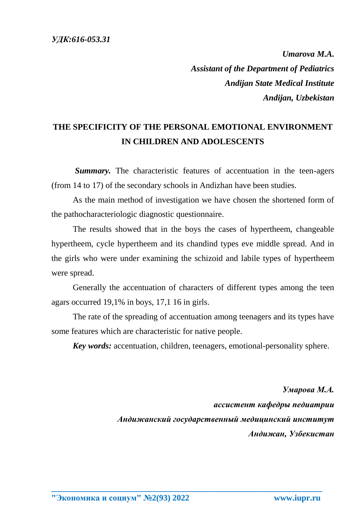*Umarova M.A. Assistant of the Department of Pediatrics Andijan State Medical Institute Andijan, Uzbekistan*

## **THE SPECIFICITY OF THE PERSONAL EMOTIONAL ENVIRONMENT IN CHILDREN AND ADOLESCENTS**

**Summary.** The characteristic features of accentuation in the teen-agers (from 14 to 17) of the secondary schools in Andizhan have been studies.

As the main method of investigation we have chosen the shortened form of the pathocharacteriologic diagnostic questionnaire.

The results showed that in the boys the cases of hypertheem, changeable hypertheem, cycle hypertheem and its chandind types eve middle spread. And in the girls who were under examining the schizoid and labile types of hypertheem were spread.

Generally the accentuation of characters of different types among the teen agars occurred 19,1% in boys, 17,1 16 in girls.

The rate of the spreading of accentuation among teenagers and its types have some features which are characteristic for native people.

**\_\_\_\_\_\_\_\_\_\_\_\_\_\_\_\_\_\_\_\_\_\_\_\_\_\_\_\_\_\_\_\_\_\_\_\_\_\_\_\_\_\_\_\_\_\_\_\_\_\_\_\_\_\_\_\_\_\_\_\_\_\_\_\_**

*Key words:* accentuation, children, teenagers, emotional-personality sphere.

*Умарова М.А. ассистент кафедры педиатрии Андижанский государственный медицинский институт Андижан, Узбекистан*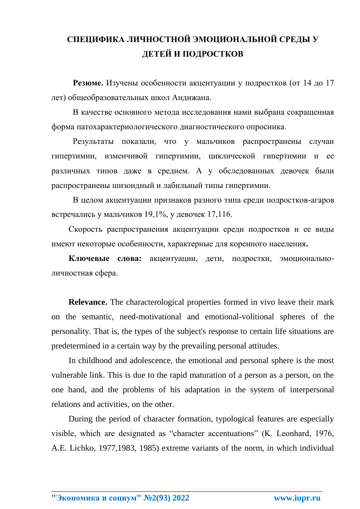## **СПЕЦИФИКА ЛИЧНОСТНОЙ ЭМОЦИОНАЛЬНОЙ СРЕДЫ У ДЕТЕЙ И ПОДРОСТКОВ**

**Резюме.** Изучены особенности акцентуации у подростков (от 14 до 17 лет) общеобразовательных школ Андижана.

В качестве основного метода исследования нами выбрана сокращенная форма патохарактериологического диагностического опросника.

Результаты показали, что у мальчиков распространены случаи гипертимии, изменчивой гипертимии, циклической гипертимии и ее различных типов даже в среднем. А у обследованных девочек были распространены шизоидный и лабильный типы гипертимии.

В целом акцентуации признаков разного типа среди подростков-агаров встречались у мальчиков 19,1%, у девочек 17,116.

Скорость распространения акцентуации среди подростков и ее виды имеют некоторые особенности, характерные для коренного населения**.**

**Ключевые слова:** акцентуации, дети, подростки, эмоциональноличностная сфера.

**Relevance.** The characterological properties formed in vivo leave their mark on the semantic, need-motivational and emotional-volitional spheres of the personality. That is, the types of the subject's response to certain life situations are predetermined in a certain way by the prevailing personal attitudes.

In childhood and adolescence, the emotional and personal sphere is the most vulnerable link. This is due to the rapid maturation of a person as a person, on the one hand, and the problems of his adaptation in the system of interpersonal relations and activities, on the other.

During the period of character formation, typological features are especially visible, which are designated as "character accentuations" (K. Leonhard, 1976, A.E. Lichko, 1977,1983, 1985) extreme variants of the norm, in which individual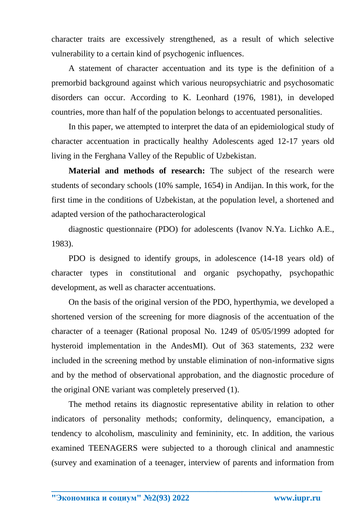character traits are excessively strengthened, as a result of which selective vulnerability to a certain kind of psychogenic influences.

A statement of character accentuation and its type is the definition of a premorbid background against which various neuropsychiatric and psychosomatic disorders can occur. According to K. Leonhard (1976, 1981), in developed countries, more than half of the population belongs to accentuated personalities.

In this paper, we attempted to interpret the data of an epidemiological study of character accentuation in practically healthy Adolescents aged 12-17 years old living in the Ferghana Valley of the Republic of Uzbekistan.

**Material and methods of research:** The subject of the research were students of secondary schools (10% sample, 1654) in Andijan. In this work, for the first time in the conditions of Uzbekistan, at the population level, a shortened and adapted version of the pathocharacterological

diagnostic questionnaire (PDO) for adolescents (Ivanov N.Ya. Lichko A.E., 1983).

PDO is designed to identify groups, in adolescence (14-18 years old) of character types in constitutional and organic psychopathy, psychopathic development, as well as character accentuations.

On the basis of the original version of the PDO, hyperthymia, we developed a shortened version of the screening for more diagnosis of the accentuation of the character of a teenager (Rational proposal No. 1249 of 05/05/1999 adopted for hysteroid implementation in the AndesMI). Out of 363 statements, 232 were included in the screening method by unstable elimination of non-informative signs and by the method of observational approbation, and the diagnostic procedure of the original ONE variant was completely preserved (1).

The method retains its diagnostic representative ability in relation to other indicators of personality methods; conformity, delinquency, emancipation, a tendency to alcoholism, masculinity and femininity, etc. In addition, the various examined TEENAGERS were subjected to a thorough clinical and anamnestic (survey and examination of a teenager, interview of parents and information from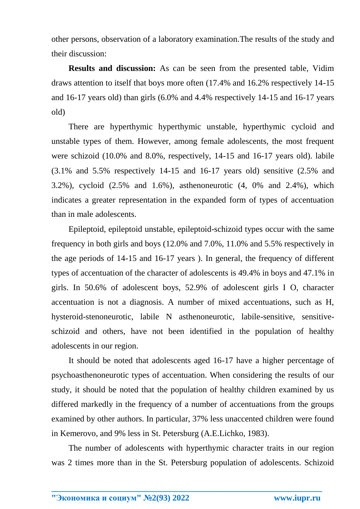other persons, observation of a laboratory examination.The results of the study and their discussion:

**Results and discussion:** As can be seen from the presented table, Vidim draws attention to itself that boys more often (17.4% and 16.2% respectively 14-15 and 16-17 years old) than girls (6.0% and 4.4% respectively 14-15 and 16-17 years old)

There are hyperthymic hyperthymic unstable, hyperthymic cycloid and unstable types of them. However, among female adolescents, the most frequent were schizoid (10.0% and 8.0%, respectively, 14-15 and 16-17 years old). labile (3.1% and 5.5% respectively 14-15 and 16-17 years old) sensitive (2.5% and 3.2%), cycloid (2.5% and 1.6%), asthenoneurotic (4, 0% and 2.4%), which indicates a greater representation in the expanded form of types of accentuation than in male adolescents.

Epileptoid, epileptoid unstable, epileptoid-schizoid types occur with the same frequency in both girls and boys (12.0% and 7.0%, 11.0% and 5.5% respectively in the age periods of 14-15 and 16-17 years ). In general, the frequency of different types of accentuation of the character of adolescents is 49.4% in boys and 47.1% in girls. In 50.6% of adolescent boys, 52.9% of adolescent girls I O, character accentuation is not a diagnosis. A number of mixed accentuations, such as H, hysteroid-stenoneurotic, labile N asthenoneurotic, labile-sensitive, sensitiveschizoid and others, have not been identified in the population of healthy adolescents in our region.

It should be noted that adolescents aged 16-17 have a higher percentage of psychoasthenoneurotic types of accentuation. When considering the results of our study, it should be noted that the population of healthy children examined by us differed markedly in the frequency of a number of accentuations from the groups examined by other authors. In particular, 37% less unaccented children were found in Kemerovo, and 9% less in St. Petersburg (A.E.Lichko, 1983).

The number of adolescents with hyperthymic character traits in our region was 2 times more than in the St. Petersburg population of adolescents. Schizoid